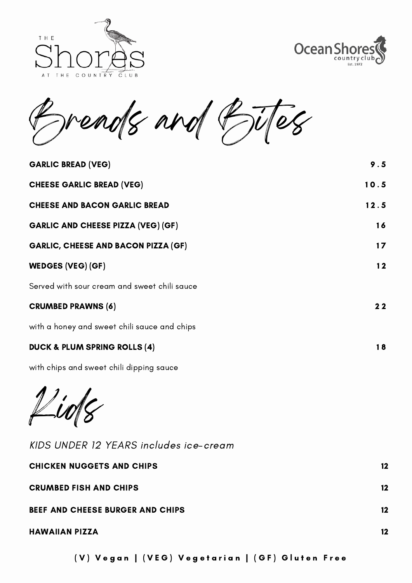



reads and Bites

| <b>GARLIC BREAD (VEG)</b>                    | 9.5             |
|----------------------------------------------|-----------------|
| <b>CHEESE GARLIC BREAD (VEG)</b>             | 10.5            |
| <b>CHEESE AND BACON GARLIC BREAD</b>         | 12.5            |
| <b>GARLIC AND CHEESE PIZZA (VEG) (GF)</b>    | 16              |
| <b>GARLIC, CHEESE AND BACON PIZZA (GF)</b>   | 17 <sub>2</sub> |
| <b>WEDGES (VEG) (GF)</b>                     | 12              |
| Served with sour cream and sweet chili sauce |                 |
| <b>CRUMBED PRAWNS (6)</b>                    | 22              |
| with a honey and sweet chili sauce and chips |                 |
| <b>DUCK &amp; PLUM SPRING ROLLS (4)</b>      | 18              |
| with chips and sweet chili dipping sauce     |                 |

 $\mu$ uo $\gamma$ 

KIDS UNDER 12 YEARS includes ice-cream

| <b>CHICKEN NUGGETS AND CHIPS</b>        | 12      |
|-----------------------------------------|---------|
| <b>CRUMBED FISH AND CHIPS</b>           | $12 \,$ |
| <b>BEEF AND CHEESE BURGER AND CHIPS</b> | $12 \,$ |
| <b>HAWAIIAN PIZZA</b>                   | $12 \,$ |
|                                         |         |

(V) Vegan | (VEG) Vegetarian | (GF) Gluten Free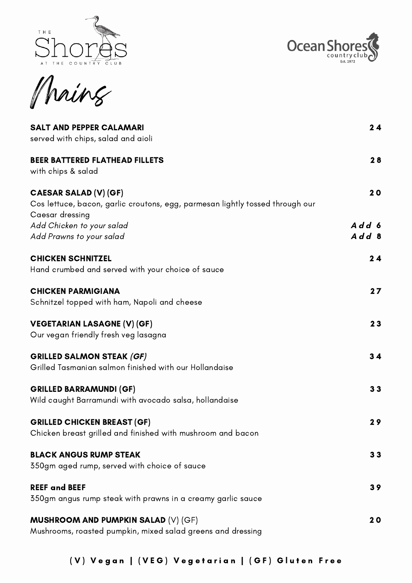



Mains

| <b>SALT AND PEPPER CALAMARI</b><br>served with chips, salad and aioli                                                            | 24             |
|----------------------------------------------------------------------------------------------------------------------------------|----------------|
| <b>BEER BATTERED FLATHEAD FILLETS</b><br>with chips & salad                                                                      | 28             |
| <b>CAESAR SALAD (V) (GF)</b><br>Cos lettuce, bacon, garlic croutons, egg, parmesan lightly tossed through our<br>Caesar dressing | 20             |
| Add Chicken to your salad<br>Add Prawns to your salad                                                                            | Add 6<br>Add 8 |
| <b>CHICKEN SCHNITZEL</b><br>Hand crumbed and served with your choice of sauce                                                    | 24             |
| <b>CHICKEN PARMIGIANA</b><br>Schnitzel topped with ham, Napoli and cheese                                                        | 27             |
| <b>VEGETARIAN LASAGNE (V) (GF)</b><br>Our vegan friendly fresh veg lasagna                                                       | 23             |
| <b>GRILLED SALMON STEAK (GF)</b><br>Grilled Tasmanian salmon finished with our Hollandaise                                       | 34             |
| <b>GRILLED BARRAMUNDI (GF)</b><br>Wild caught Barramundi with avocado salsa, hollandaise                                         | 33             |
| <b>GRILLED CHICKEN BREAST (GF)</b><br>Chicken breast grilled and finished with mushroom and bacon                                | 29             |
| <b>BLACK ANGUS RUMP STEAK</b><br>350gm aged rump, served with choice of sauce                                                    | 33             |
| <b>REEF and BEEF</b><br>350gm angus rump steak with prawns in a creamy garlic sauce                                              | 39             |
| <b>MUSHROOM AND PUMPKIN SALAD (V) (GF)</b><br>Mushrooms, roasted pumpkin, mixed salad greens and dressing                        | 20             |

(V) Vegan | (VEG) Vegetarian | (GF) Gluten Free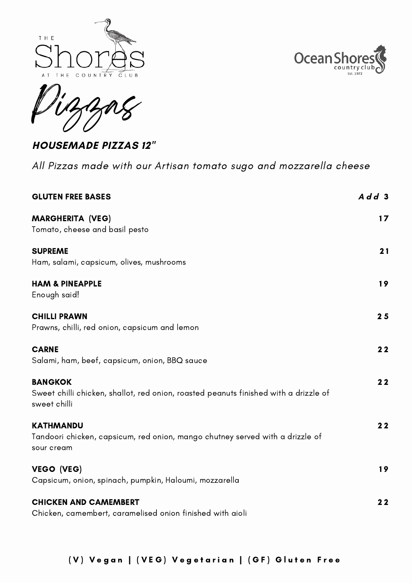





**HOUSEMADE PIZZAS 12"**

All Pizzas made with our Artisan tomato sugo and mozzarella cheese

| <b>GLUTEN FREE BASES</b>                                                                                               | Add3 |
|------------------------------------------------------------------------------------------------------------------------|------|
| <b>MARGHERITA (VEG)</b><br>Tomato, cheese and basil pesto                                                              | 17   |
| <b>SUPREME</b><br>Ham, salami, capsicum, olives, mushrooms                                                             | 21   |
| <b>HAM &amp; PINEAPPLE</b><br>Enough said!                                                                             | 19   |
| <b>CHILLI PRAWN</b><br>Prawns, chilli, red onion, capsicum and lemon                                                   | 25   |
| <b>CARNE</b><br>Salami, ham, beef, capsicum, onion, BBQ sauce                                                          | 22   |
| <b>BANGKOK</b><br>Sweet chilli chicken, shallot, red onion, roasted peanuts finished with a drizzle of<br>sweet chilli | 22   |
| <b>KATHMANDU</b><br>Tandoori chicken, capsicum, red onion, mango chutney served with a drizzle of<br>sour cream        | 22   |
| VEGO (VEG)<br>Capsicum, onion, spinach, pumpkin, Haloumi, mozzarella                                                   | 19   |
| <b>CHICKEN AND CAMEMBERT</b><br>Chicken, camembert, caramelised onion finished with aioli                              | 22   |